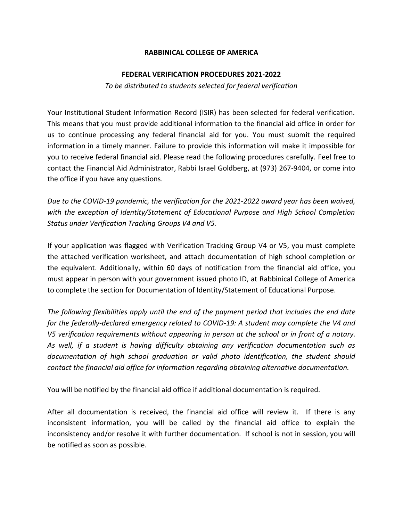## **RABBINICAL COLLEGE OF AMERICA**

## **FEDERAL VERIFICATION PROCEDURES 2021-2022**

*To be distributed to students selected for federal verification*

Your Institutional Student Information Record (ISIR) has been selected for federal verification. This means that you must provide additional information to the financial aid office in order for us to continue processing any federal financial aid for you. You must submit the required information in a timely manner. Failure to provide this information will make it impossible for you to receive federal financial aid. Please read the following procedures carefully. Feel free to contact the Financial Aid Administrator, Rabbi Israel Goldberg, at (973) 267-9404, or come into the office if you have any questions.

*Due to the COVID-19 pandemic, the verification for the 2021-2022 award year has been waived, with the exception of Identity/Statement of Educational Purpose and High School Completion Status under Verification Tracking Groups V4 and V5.*

If your application was flagged with Verification Tracking Group V4 or V5, you must complete the attached verification worksheet, and attach documentation of high school completion or the equivalent. Additionally, within 60 days of notification from the financial aid office, you must appear in person with your government issued photo ID, at Rabbinical College of America to complete the section for Documentation of Identity/Statement of Educational Purpose.

*The following flexibilities apply until the end of the payment period that includes the end date for the federally-declared emergency related to COVID-19: A student may complete the V4 and V5 verification requirements without appearing in person at the school or in front of a notary. As well, if a student is having difficulty obtaining any verification documentation such as documentation of high school graduation or valid photo identification, the student should contact the financial aid office for information regarding obtaining alternative documentation.*

You will be notified by the financial aid office if additional documentation is required.

After all documentation is received, the financial aid office will review it. If there is any inconsistent information, you will be called by the financial aid office to explain the inconsistency and/or resolve it with further documentation. If school is not in session, you will be notified as soon as possible.